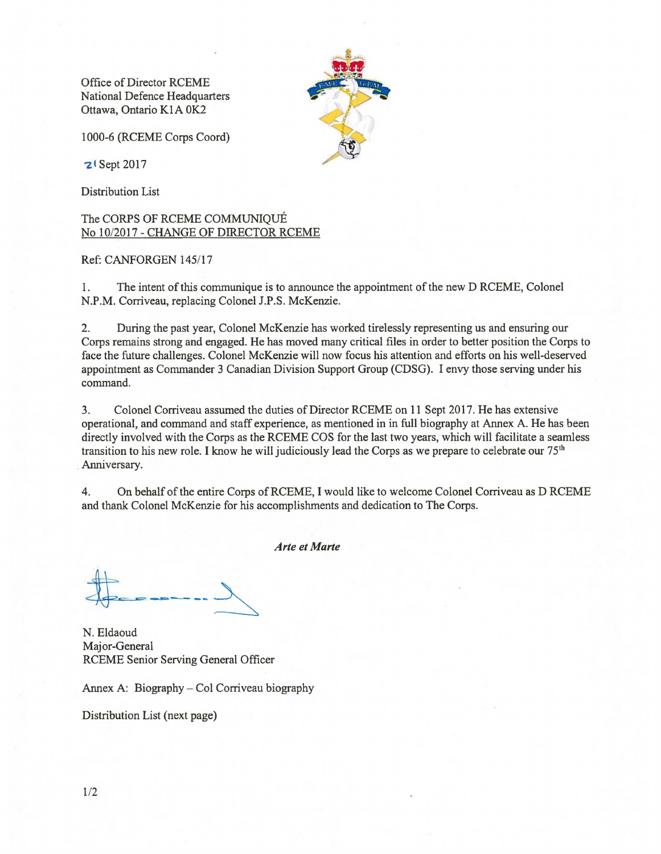Office of Director RCEME National Defence Headquarters Ottawa, Ontario KIA OK2

1000-6 (RCEME Corps Coord)

**z** Sept 2017

Distribution List

The CORPS OF RCEME COMMUNIQuE No 10/2017 - CHANGE OF DIRECTOR RCEME

## Ref: CANFORGEN 145/17

1. The intent of this communique is to announce the appointment of the new D RCEME, Colonel N.P.M. Corriveau, replacing Colonel J.P.S. McKenzie.

2. During the past year, Colonel McKenzie has worked tirelessly representing us and ensuring our Corps remains strong and engaged. He has moved many critical files in order to better position the Corps to face the future challenges. Colonel McKenzie will now focus his attention and efforts on his well-deserved appointment as Commander 3 Canadian Division Support Group (CDSG). I envy those serving under his command.

3. Colonel Corriveau assumed the duties of Director RCEME on 11 Sept 2017. He has extensive operational, and command and staff experience, as mentioned in in full biography at Annex A. He has been directly involved with the Corps as the RCEME COS for the last two years, which will facilitate a seamless transition to his new role. I know he will judiciously lead the Corps as we prepare to celebrate our 75<sup>th</sup> Anniversary.

4. On behalf of the entire Corps of RCEME, I would like to welcome Colonel Corriveau as D RCEME and thank Colonel McKenzie for his accomplishments and dedication to The Corps.

*Arte et Marte* 

 $-----$ 

N. Eldaoud Major-General RCEME Senior Serving General Officer

Annex A: Biography – Col Corriveau biography

Distribution List (next page)

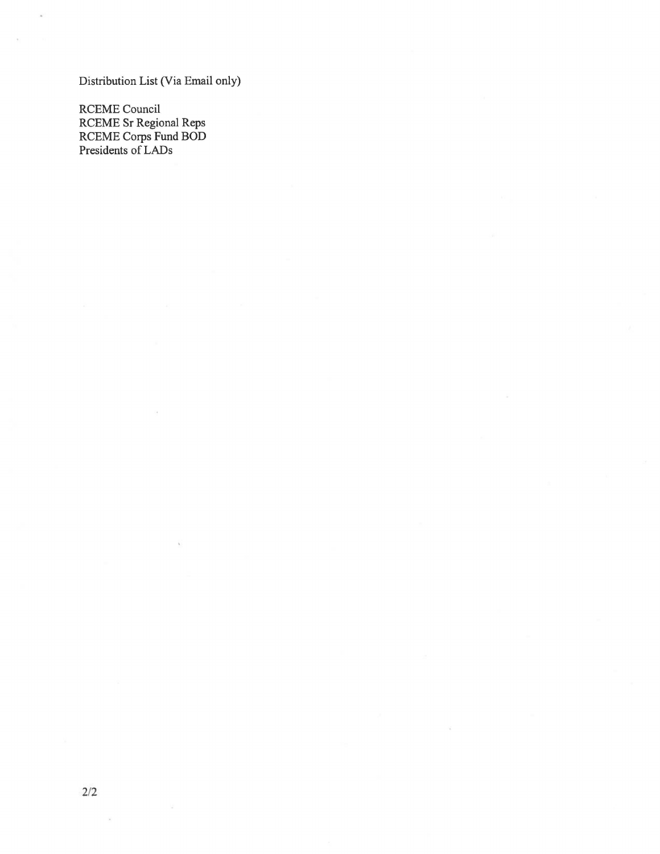Distribution List (Via Email only)

RCEME Council RCEME Sr Regional Reps RCEME Corps Fund BOD Presidents of LADs